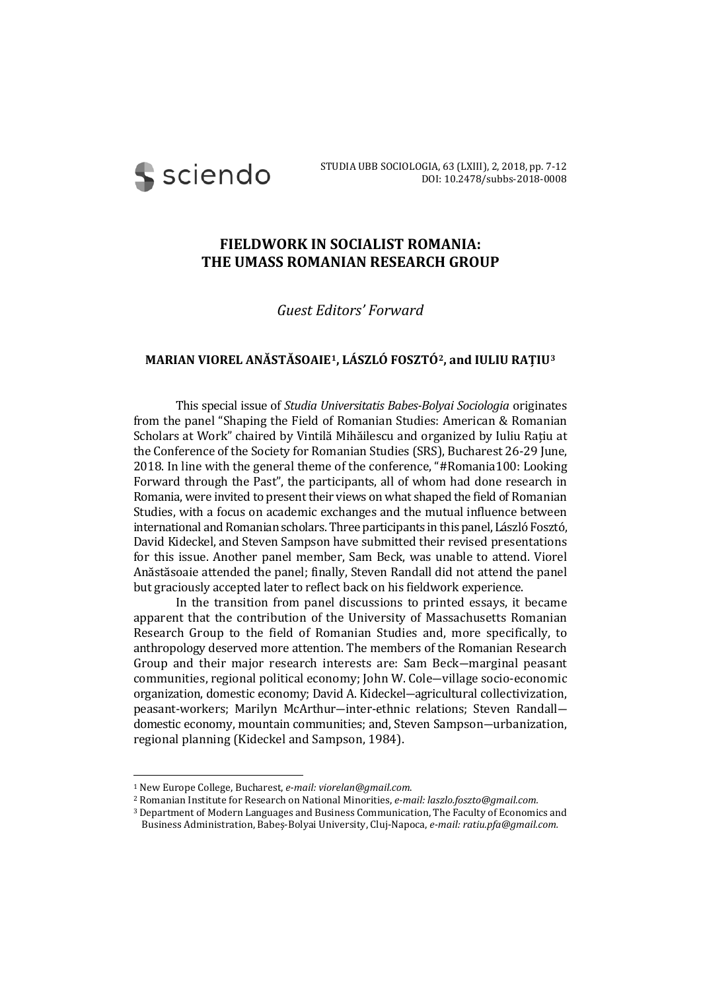**S** sciendo

## **FIELDWORK IN SOCIALIST ROMANIA: THE UMASS ROMANIAN RESEARCH GROUP**

## *Guest Editors' Forward*

## **MARIAN VIOREL ANĂSTĂSOAIE[1](#page-0-0), LÁSZLÓ FOSZTÓ[2](#page-0-1), and IULIU RAȚIU[3](#page-0-2)**

This special issue of *Studia Universitatis Babes-Bolyai Sociologia* originates from the panel "Shaping the Field of Romanian Studies: American & Romanian Scholars at Work" chaired by Vintilă Mihăilescu and organized by Iuliu Rațiu at the Conference of the Society for Romanian Studies (SRS), Bucharest 26-29 June, 2018. In line with the general theme of the conference, "#Romania100: Looking Forward through the Past", the participants, all of whom had done research in Romania, were invited to present their views on what shaped the field of Romanian Studies, with a focus on academic exchanges and the mutual influence between international and Romanian scholars. Three participants in this panel, László Fosztó, David Kideckel, and Steven Sampson have submitted their revised presentations for this issue. Another panel member, Sam Beck, was unable to attend. Viorel Anăstăsoaie attended the panel; finally, Steven Randall did not attend the panel but graciously accepted later to reflect back on his fieldwork experience.

In the transition from panel discussions to printed essays, it became apparent that the contribution of the University of Massachusetts Romanian Research Group to the field of Romanian Studies and, more specifically, to anthropology deserved more attention. The members of the Romanian Research Group and their major research interests are: Sam Beck―marginal peasant communities, regional political economy; John W. Cole―village socio-economic organization, domestic economy; David A. Kideckel―agricultural collectivization, peasant-workers; Marilyn McArthur―inter-ethnic relations; Steven Randall― domestic economy, mountain communities; and, Steven Sampson―urbanization, regional planning (Kideckel and Sampson, 1984).

<span id="page-0-0"></span> <sup>1</sup> New Europe College, Bucharest, *e-mail: viorelan@gmail.com*.

<span id="page-0-1"></span><sup>2</sup> Romanian Institute for Research on National Minorities, *e-mail: laszlo.foszto@gmail.com.*

<span id="page-0-2"></span><sup>3</sup> Department of Modern Languages and Business Communication, The Faculty of Economics and Business Administration, Babeș-Bolyai University, Cluj-Napoca, *e-mail: ratiu.pfa@gmail.com.*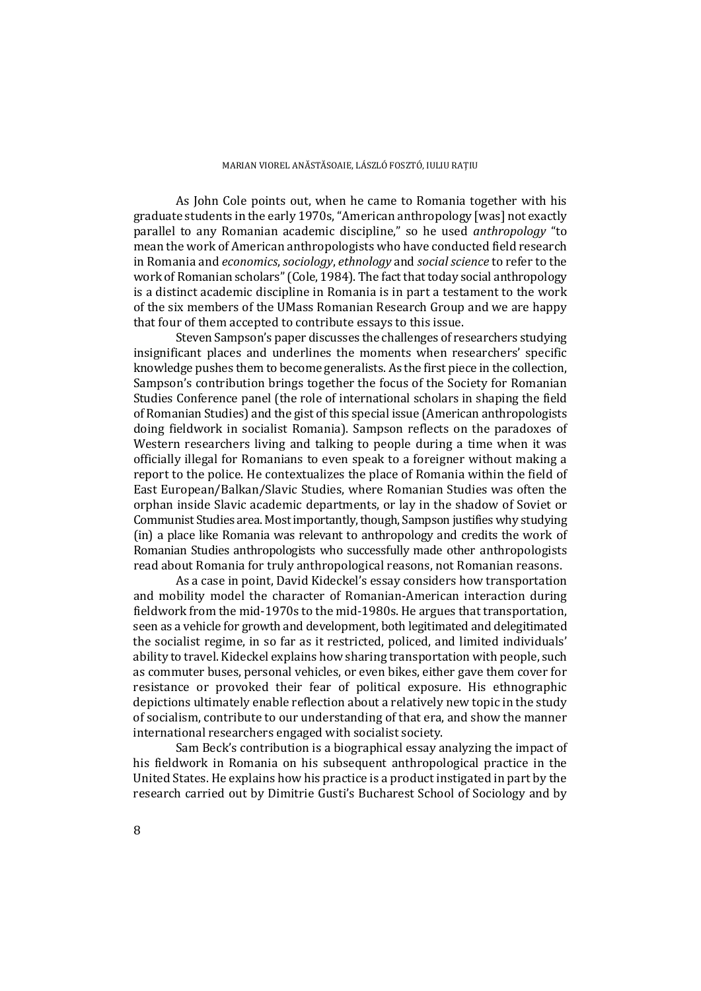As John Cole points out, when he came to Romania together with his graduate students in the early 1970s, "American anthropology [was] not exactly parallel to any Romanian academic discipline," so he used *anthropology* "to mean the work of American anthropologists who have conducted field research in Romania and *economics*, *sociology*, *ethnology* and *social science* to refer to the work of Romanian scholars" (Cole, 1984). The fact that today social anthropology is a distinct academic discipline in Romania is in part a testament to the work of the six members of the UMass Romanian Research Group and we are happy that four of them accepted to contribute essays to this issue.

Steven Sampson's paper discusses the challenges of researchers studying insignificant places and underlines the moments when researchers' specific knowledge pushes them to become generalists. As the first piece in the collection, Sampson's contribution brings together the focus of the Society for Romanian Studies Conference panel (the role of international scholars in shaping the field of Romanian Studies) and the gist of this special issue (American anthropologists doing fieldwork in socialist Romania). Sampson reflects on the paradoxes of Western researchers living and talking to people during a time when it was officially illegal for Romanians to even speak to a foreigner without making a report to the police. He contextualizes the place of Romania within the field of East European/Balkan/Slavic Studies, where Romanian Studies was often the orphan inside Slavic academic departments, or lay in the shadow of Soviet or Communist Studies area. Most importantly, though, Sampson justifies why studying (in) a place like Romania was relevant to anthropology and credits the work of Romanian Studies anthropologists who successfully made other anthropologists read about Romania for truly anthropological reasons, not Romanian reasons.

As a case in point, David Kideckel's essay considers how transportation and mobility model the character of Romanian-American interaction during fieldwork from the mid-1970s to the mid-1980s. He argues that transportation, seen as a vehicle for growth and development, both legitimated and delegitimated the socialist regime, in so far as it restricted, policed, and limited individuals' ability to travel. Kideckel explains how sharing transportation with people, such as commuter buses, personal vehicles, or even bikes, either gave them cover for resistance or provoked their fear of political exposure. His ethnographic depictions ultimately enable reflection about a relatively new topic in the study of socialism, contribute to our understanding of that era, and show the manner international researchers engaged with socialist society.

Sam Beck's contribution is a biographical essay analyzing the impact of his fieldwork in Romania on his subsequent anthropological practice in the United States. He explains how his practice is a product instigated in part by the research carried out by Dimitrie Gusti's Bucharest School of Sociology and by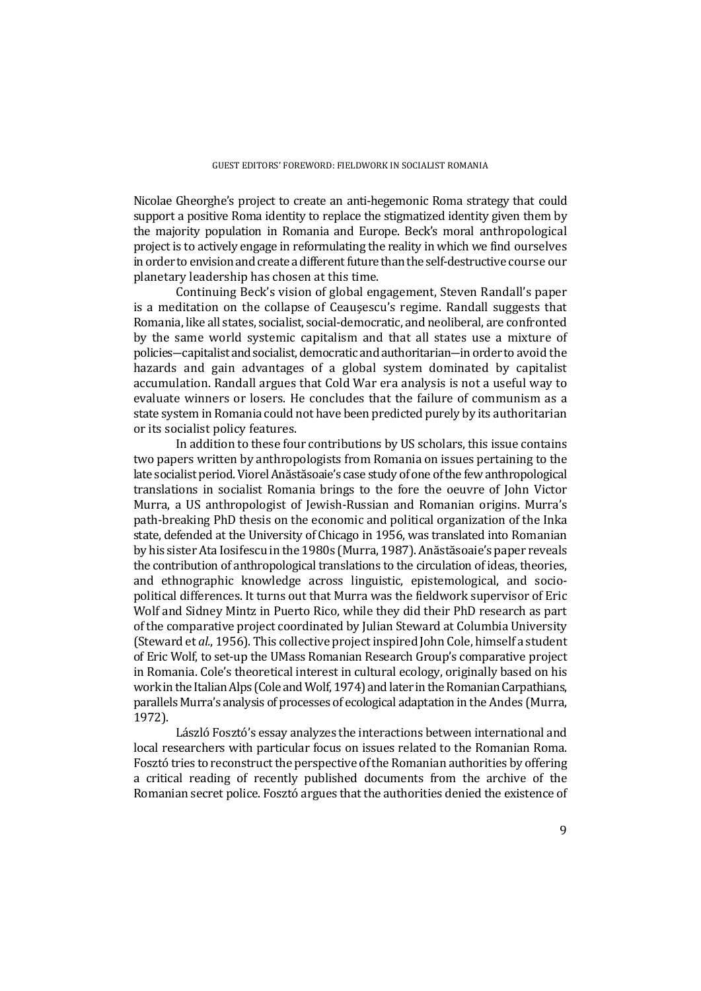Nicolae Gheorghe's project to create an anti-hegemonic Roma strategy that could support a positive Roma identity to replace the stigmatized identity given them by the majority population in Romania and Europe. Beck's moral anthropological project is to actively engage in reformulating the reality in which we find ourselves in order to envision and create a different future than the self-destructive course our planetary leadership has chosen at this time.

Continuing Beck's vision of global engagement, Steven Randall's paper is a meditation on the collapse of Ceauşescu's regime. Randall suggests that Romania, like all states, socialist, social-democratic, and neoliberal, are confronted by the same world systemic capitalism and that all states use a mixture of policies―capitalist and socialist, democratic and authoritarian―in order to avoid the hazards and gain advantages of a global system dominated by capitalist accumulation. Randall argues that Cold War era analysis is not a useful way to evaluate winners or losers. He concludes that the failure of communism as a state system in Romania could not have been predicted purely by its authoritarian or its socialist policy features.

In addition to these four contributions by US scholars, this issue contains two papers written by anthropologists from Romania on issues pertaining to the late socialist period. Viorel Anăstăsoaie's case study of one of the few anthropological translations in socialist Romania brings to the fore the oeuvre of John Victor Murra, a US anthropologist of Jewish-Russian and Romanian origins. Murra's path-breaking PhD thesis on the economic and political organization of the Inka state, defended at the University of Chicago in 1956, was translated into Romanian by his sister Ata Iosifescu in the 1980s (Murra, 1987). Anăstăsoaie's paper reveals the contribution of anthropological translations to the circulation of ideas, theories, and ethnographic knowledge across linguistic, epistemological, and sociopolitical differences. It turns out that Murra was the fieldwork supervisor of Eric Wolf and Sidney Mintz in Puerto Rico, while they did their PhD research as part of the comparative project coordinated by Julian Steward at Columbia University (Steward et *al.*, 1956). This collective project inspired John Cole, himself a student of Eric Wolf, to set-up the UMass Romanian Research Group's comparative project in Romania. Cole's theoretical interest in cultural ecology, originally based on his work in the Italian Alps (Cole and Wolf, 1974) and later in the Romanian Carpathians, parallels Murra's analysis of processes of ecological adaptation in the Andes (Murra, 1972).

László Fosztó's essay analyzes the interactions between international and local researchers with particular focus on issues related to the Romanian Roma. Fosztó tries to reconstruct the perspective of the Romanian authorities by offering a critical reading of recently published documents from the archive of the Romanian secret police. Fosztó argues that the authorities denied the existence of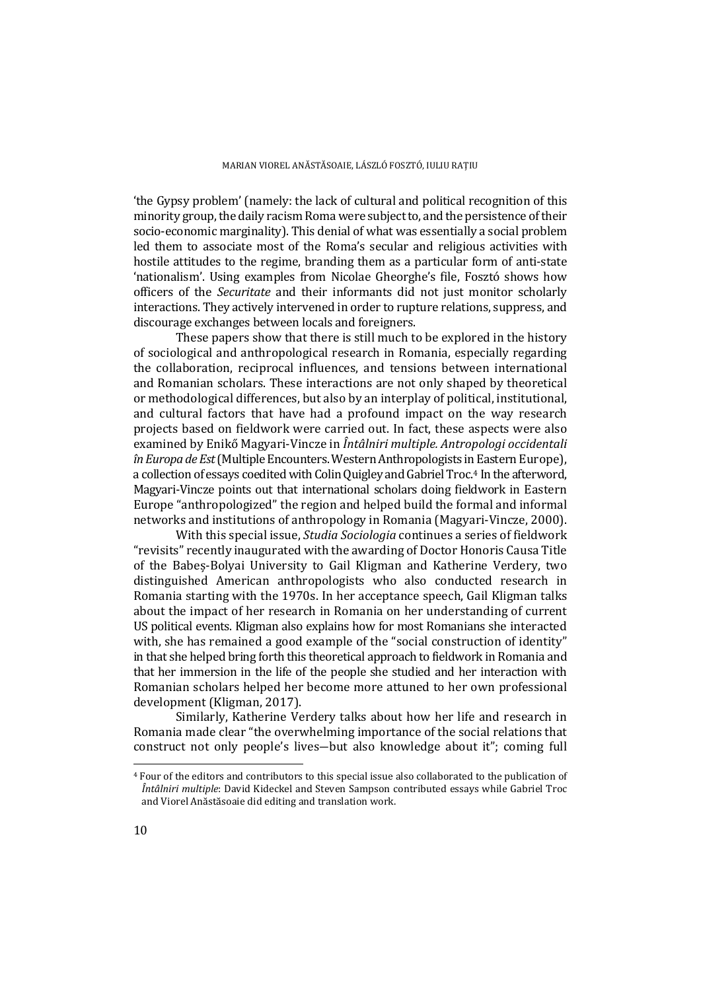'the Gypsy problem' (namely: the lack of cultural and political recognition of this minority group, the daily racism Roma were subject to, and the persistence of their socio-economic marginality). This denial of what was essentially a social problem led them to associate most of the Roma's secular and religious activities with hostile attitudes to the regime, branding them as a particular form of anti-state 'nationalism'. Using examples from Nicolae Gheorghe's file, Fosztó shows how officers of the *Securitate* and their informants did not just monitor scholarly interactions. They actively intervened in order to rupture relations, suppress, and discourage exchanges between locals and foreigners.

These papers show that there is still much to be explored in the history of sociological and anthropological research in Romania, especially regarding the collaboration, reciprocal influences, and tensions between international and Romanian scholars. These interactions are not only shaped by theoretical or methodological differences, but also by an interplay of political, institutional, and cultural factors that have had a profound impact on the way research projects based on fieldwork were carried out. In fact, these aspects were also examined by Enikő Magyari-Vincze in *Întâlniri multiple. Antropologi occidentali în Europa de Est*(Multiple Encounters. Western Anthropologists in Eastern Europe), a collection of essays coedited with Colin Quigley and Gabriel Troc.<sup>[4](#page-3-0)</sup> In the afterword, Magyari-Vincze points out that international scholars doing fieldwork in Eastern Europe "anthropologized" the region and helped build the formal and informal networks and institutions of anthropology in Romania (Magyari-Vincze, 2000).

With this special issue, *Studia Sociologia* continues a series of fieldwork "revisits" recently inaugurated with the awarding of Doctor Honoris Causa Title of the Babeș-Bolyai University to Gail Kligman and Katherine Verdery, two distinguished American anthropologists who also conducted research in Romania starting with the 1970s. In her acceptance speech, Gail Kligman talks about the impact of her research in Romania on her understanding of current US political events. Kligman also explains how for most Romanians she interacted with, she has remained a good example of the "social construction of identity" in that she helped bring forth this theoretical approach to fieldwork in Romania and that her immersion in the life of the people she studied and her interaction with Romanian scholars helped her become more attuned to her own professional development (Kligman, 2017).

Similarly, Katherine Verdery talks about how her life and research in Romania made clear "the overwhelming importance of the social relations that construct not only people's lives―but also knowledge about it"; coming full

<span id="page-3-0"></span> <sup>4</sup> Four of the editors and contributors to this special issue also collaborated to the publication of *Întâlniri multiple*: David Kideckel and Steven Sampson contributed essays while Gabriel Troc and Viorel Anăstăsoaie did editing and translation work.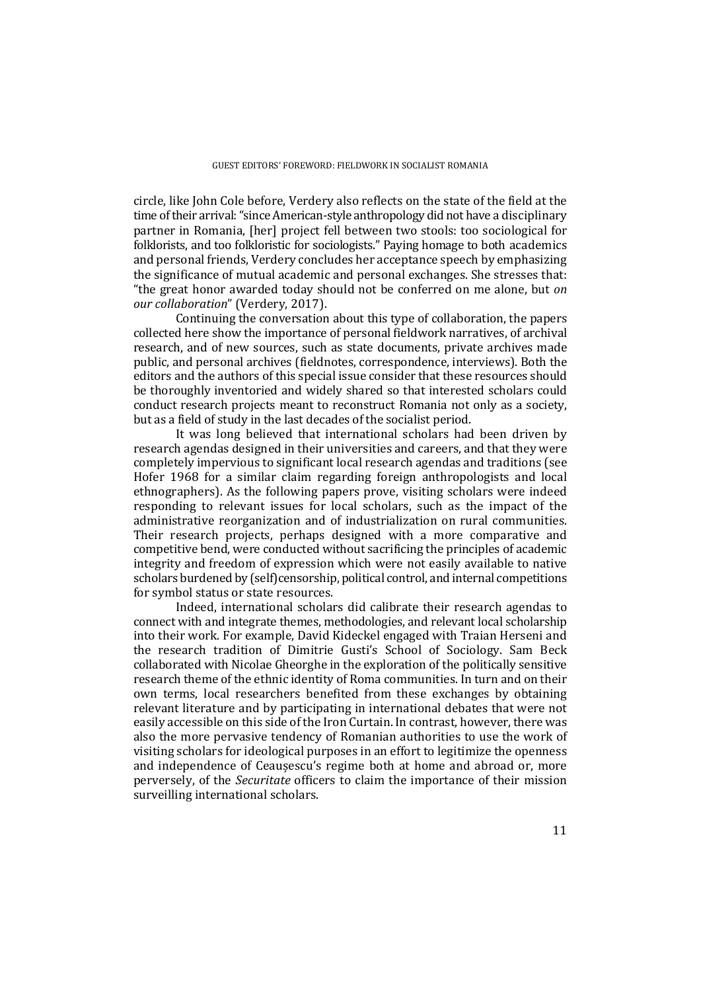circle, like John Cole before, Verdery also reflects on the state of the field at the time of their arrival: "since American-style anthropology did not have a disciplinary partner in Romania, [her] project fell between two stools: too sociological for folklorists, and too folkloristic for sociologists." Paying homage to both academics and personal friends, Verdery concludes her acceptance speech by emphasizing the significance of mutual academic and personal exchanges. She stresses that: "the great honor awarded today should not be conferred on me alone, but *on our collaboration*" (Verdery, 2017).

Continuing the conversation about this type of collaboration, the papers collected here show the importance of personal fieldwork narratives, of archival research, and of new sources, such as state documents, private archives made public, and personal archives (fieldnotes, correspondence, interviews). Both the editors and the authors of this special issue consider that these resources should be thoroughly inventoried and widely shared so that interested scholars could conduct research projects meant to reconstruct Romania not only as a society, but as a field of study in the last decades of the socialist period.

It was long believed that international scholars had been driven by research agendas designed in their universities and careers, and that they were completely impervious to significant local research agendas and traditions (see Hofer 1968 for a similar claim regarding foreign anthropologists and local ethnographers). As the following papers prove, visiting scholars were indeed responding to relevant issues for local scholars, such as the impact of the administrative reorganization and of industrialization on rural communities. Their research projects, perhaps designed with a more comparative and competitive bend, were conducted without sacrificing the principles of academic integrity and freedom of expression which were not easily available to native scholars burdened by (self)censorship, political control, and internal competitions for symbol status or state resources.

Indeed, international scholars did calibrate their research agendas to connect with and integrate themes, methodologies, and relevant local scholarship into their work. For example, David Kideckel engaged with Traian Herseni and the research tradition of Dimitrie Gusti's School of Sociology. Sam Beck collaborated with Nicolae Gheorghe in the exploration of the politically sensitive research theme of the ethnic identity of Roma communities. In turn and on their own terms, local researchers benefited from these exchanges by obtaining relevant literature and by participating in international debates that were not easily accessible on this side of the Iron Curtain. In contrast, however, there was also the more pervasive tendency of Romanian authorities to use the work of visiting scholars for ideological purposes in an effort to legitimize the openness and independence of Ceaușescu's regime both at home and abroad or, more perversely, of the *Securitate* officers to claim the importance of their mission surveilling international scholars.